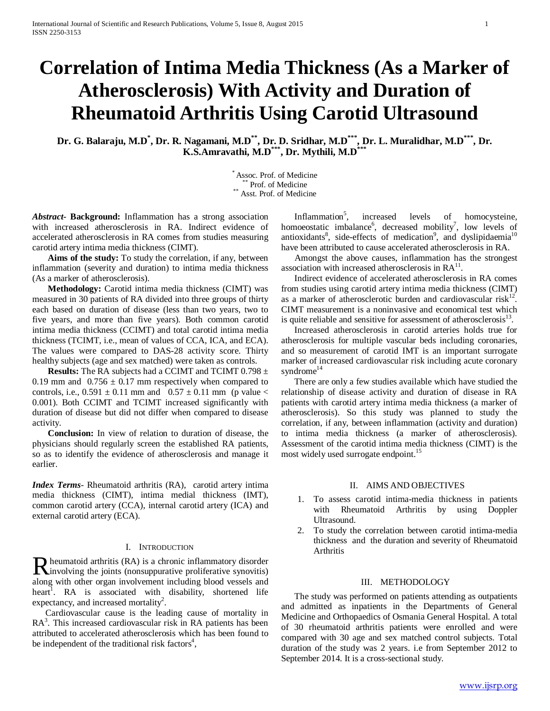# **Correlation of Intima Media Thickness (As a Marker of Atherosclerosis) With Activity and Duration of Rheumatoid Arthritis Using Carotid Ultrasound**

**Dr. G. Balaraju, M.D\* , Dr. R. Nagamani, M.D\*\*, Dr. D. Sridhar, M.D\*\*\*, Dr. L. Muralidhar, M.D\*\*\*, Dr. K.S.Amravathi, M.D\*\*\*, Dr. Mythili, M.D\*\*\***

\* Assoc. Prof. of Medicine \*\* Prof. of Medicine \*\* Asst. Prof. of Medicine

*Abstract***- Background:** Inflammation has a strong association with increased atherosclerosis in RA. Indirect evidence of accelerated atherosclerosis in RA comes from studies measuring carotid artery intima media thickness (CIMT).

 **Aims of the study:** To study the correlation, if any, between inflammation (severity and duration) to intima media thickness (As a marker of atherosclerosis).

 **Methodology:** Carotid intima media thickness (CIMT) was measured in 30 patients of RA divided into three groups of thirty each based on duration of disease (less than two years, two to five years, and more than five years). Both common carotid intima media thickness (CCIMT) and total carotid intima media thickness (TCIMT, i.e., mean of values of CCA, ICA, and ECA). The values were compared to DAS-28 activity score. Thirty healthy subjects (age and sex matched) were taken as controls.

 **Results:** The RA subjects had a CCIMT and TCIMT 0.798 ± 0.19 mm and  $0.756 \pm 0.17$  mm respectively when compared to controls, i.e.,  $0.591 \pm 0.11$  mm and  $0.57 \pm 0.11$  mm (p value < 0.001). Both CCIMT and TCIMT increased significantly with duration of disease but did not differ when compared to disease activity.

 **Conclusion:** In view of relation to duration of disease, the physicians should regularly screen the established RA patients, so as to identify the evidence of atherosclerosis and manage it earlier.

*Index Terms*- Rheumatoid arthritis (RA), carotid artery intima media thickness (CIMT), intima medial thickness (IMT), common carotid artery (CCA), internal carotid artery (ICA) and external carotid artery (ECA).

#### I. INTRODUCTION

heumatoid arthritis (RA) is a chronic inflammatory disorder **R** heumatoid arthritis (RA) is a chronic inflammatory disorder involving the joints (nonsuppurative proliferative synovitis) along with other organ involvement including blood vessels and heart<sup>1</sup>. RA is associated with disability, shortened life expectancy, and increased mortality<sup>2</sup>.

 Cardiovascular cause is the leading cause of mortality in RA<sup>3</sup>. This increased cardiovascular risk in RA patients has been attributed to accelerated atherosclerosis which has been found to be independent of the traditional risk factors<sup>4</sup>,

Inflammation<sup>5</sup>, increased levels of homocysteine, homoeostatic imbalance<sup>6</sup>, decreased mobility<sup>7</sup>, low levels of antioxidants<sup>8</sup>, side-effects of medication<sup>9</sup>, and dyslipidaemia<sup>10</sup> have been attributed to cause accelerated atherosclerosis in RA.

 Amongst the above causes, inflammation has the strongest association with increased atherosclerosis in  $RA<sup>11</sup>$ .

 Indirect evidence of accelerated atherosclerosis in RA comes from studies using carotid artery intima media thickness (CIMT) as a marker of atherosclerotic burden and cardiovascular risk<sup>12</sup>. CIMT measurement is a noninvasive and economical test which is quite reliable and sensitive for assessment of atherosclerosis $13$ .

 Increased atherosclerosis in carotid arteries holds true for atherosclerosis for multiple vascular beds including coronaries, and so measurement of carotid IMT is an important surrogate marker of increased cardiovascular risk including acute coronary syndrome<sup>14</sup>

 There are only a few studies available which have studied the relationship of disease activity and duration of disease in RA patients with carotid artery intima media thickness (a marker of atherosclerosis). So this study was planned to study the correlation, if any, between inflammation (activity and duration) to intima media thickness (a marker of atherosclerosis). Assessment of the carotid intima media thickness (CIMT) is the most widely used surrogate endpoint.<sup>15</sup>

#### II. AIMS AND OBJECTIVES

- 1. To assess carotid intima-media thickness in patients with Rheumatoid Arthritis by using Doppler Ultrasound.
- 2. To study the correlation between carotid intima-media thickness and the duration and severity of Rheumatoid Arthritis

#### III. METHODOLOGY

 The study was performed on patients attending as outpatients and admitted as inpatients in the Departments of General Medicine and Orthopaedics of Osmania General Hospital. A total of 30 rheumatoid arthritis patients were enrolled and were compared with 30 age and sex matched control subjects. Total duration of the study was 2 years. i.e from September 2012 to September 2014. It is a cross-sectional study.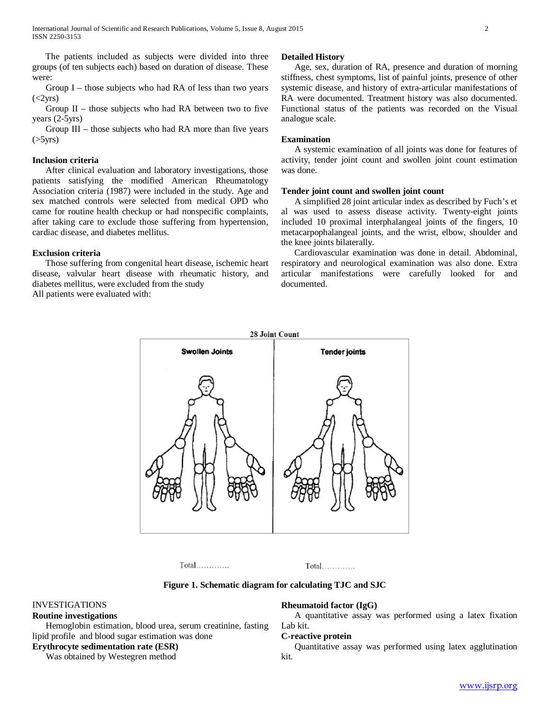The patients included as subjects were divided into three groups (of ten subjects each) based on duration of disease. These were:

 Group I – those subjects who had RA of less than two years  $(<2yrs)$ 

Group  $II$  – those subjects who had RA between two to five years (2-5yrs)

 Group III – those subjects who had RA more than five years  $($ >5 $\gamma$ rs)

## **Inclusion criteria**

 After clinical evaluation and laboratory investigations, those patients satisfying the modified American Rheumatology Association criteria (1987) were included in the study. Age and sex matched controls were selected from medical OPD who came for routine health checkup or had nonspecific complaints, after taking care to exclude those suffering from hypertension, cardiac disease, and diabetes mellitus.

#### **Exclusion criteria**

 Those suffering from congenital heart disease, ischemic heart disease, valvular heart disease with rheumatic history, and diabetes mellitus, were excluded from the study All patients were evaluated with:

#### **Detailed History**

 Age, sex, duration of RA, presence and duration of morning stiffness, chest symptoms, list of painful joints, presence of other systemic disease, and history of extra-articular manifestations of RA were documented. Treatment history was also documented. Functional status of the patients was recorded on the Visual analogue scale.

#### **Examination**

 A systemic examination of all joints was done for features of activity, tender joint count and swollen joint count estimation was done.

#### **Tender joint count and swollen joint count**

 A simplified 28 joint articular index as described by Fuch's et al was used to assess disease activity. Twenty-eight joints included 10 proximal interphalangeal joints of the fingers, 10 metacarpophalangeal joints, and the wrist, elbow, shoulder and the knee joints bilaterally.

 Cardiovascular examination was done in detail. Abdominal, respiratory and neurological examination was also done. Extra articular manifestations were carefully looked for and documented.



 $Total$ ..............

 $Total$ .............

**Figure 1. Schematic diagram for calculating TJC and SJC**

## INVESTIGATIONS

#### **Routine investigations**

 Hemoglobin estimation, blood urea, serum creatinine, fasting lipid profile and blood sugar estimation was done

## **Erythrocyte sedimentation rate (ESR)**

Was obtained by Westegren method

#### **Rheumatoid factor (IgG)**

 A quantitative assay was performed using a latex fixation Lab kit.

#### **C-reactive protein**

 Quantitative assay was performed using latex agglutination kit.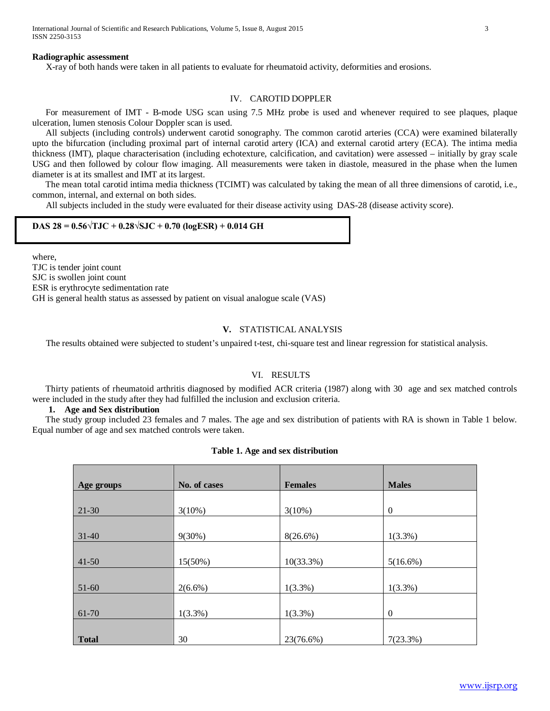International Journal of Scientific and Research Publications, Volume 5, Issue 8, August 2015 3 ISSN 2250-3153

#### **Radiographic assessment**

X-ray of both hands were taken in all patients to evaluate for rheumatoid activity, deformities and erosions.

## IV. CAROTID DOPPLER

 For measurement of IMT - B-mode USG scan using 7.5 MHz probe is used and whenever required to see plaques, plaque ulceration, lumen stenosis Colour Doppler scan is used.

 All subjects (including controls) underwent carotid sonography. The common carotid arteries (CCA) were examined bilaterally upto the bifurcation (including proximal part of internal carotid artery (ICA) and external carotid artery (ECA). The intima media thickness (IMT), plaque characterisation (including echotexture, calcification, and cavitation) were assessed – initially by gray scale USG and then followed by colour flow imaging. All measurements were taken in diastole, measured in the phase when the lumen diameter is at its smallest and IMT at its largest.

 The mean total carotid intima media thickness (TCIMT) was calculated by taking the mean of all three dimensions of carotid, i.e., common, internal, and external on both sides.

All subjects included in the study were evaluated for their disease activity using DAS-28 (disease activity score).

#### **DAS 28 = 0.56√TJC + 0.28√SJC + 0.70 (logESR) + 0.014 GH**

where, TJC is tender joint count SJC is swollen joint count ESR is erythrocyte sedimentation rate GH is general health status as assessed by patient on visual analogue scale (VAS)

## **V.** STATISTICAL ANALYSIS

The results obtained were subjected to student's unpaired t-test, chi-square test and linear regression for statistical analysis.

#### VI. RESULTS

 Thirty patients of rheumatoid arthritis diagnosed by modified ACR criteria (1987) along with 30 age and sex matched controls were included in the study after they had fulfilled the inclusion and exclusion criteria.

## **1. Age and Sex distribution**

 The study group included 23 females and 7 males. The age and sex distribution of patients with RA is shown in Table 1 below. Equal number of age and sex matched controls were taken.

#### **Table 1. Age and sex distribution**

| Age groups   | No. of cases | <b>Females</b> | <b>Males</b> |
|--------------|--------------|----------------|--------------|
|              |              |                |              |
| $21-30$      | $3(10\%)$    | $3(10\%)$      | $\theta$     |
|              |              |                |              |
| $31 - 40$    | $9(30\%)$    | $8(26.6\%)$    | $1(3.3\%)$   |
|              |              |                |              |
| $41 - 50$    | 15(50%)      | $10(33.3\%)$   | 5(16.6%)     |
|              |              |                |              |
| 51-60        | $2(6.6\%)$   | $1(3.3\%)$     | $1(3.3\%)$   |
|              |              |                |              |
| 61-70        | $1(3.3\%)$   | $1(3.3\%)$     | $\Omega$     |
|              |              |                |              |
| <b>Total</b> | 30           | 23(76.6%)      | 7(23.3%)     |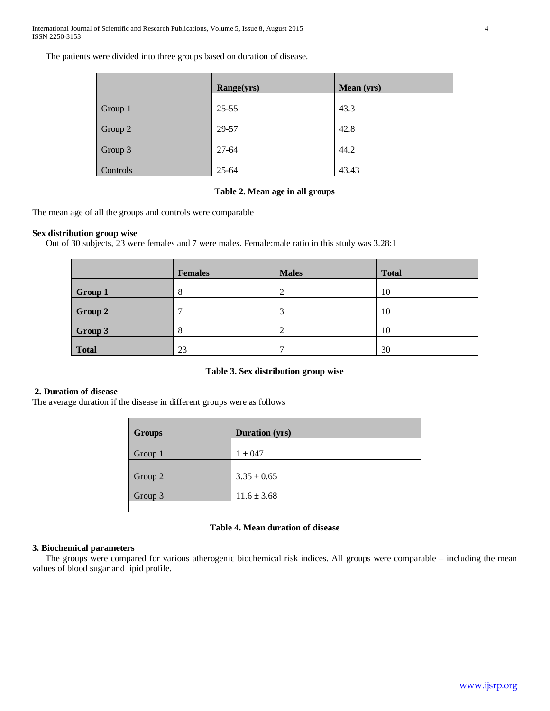The patients were divided into three groups based on duration of disease.

|          | Range(yrs) | <b>Mean</b> (yrs) |
|----------|------------|-------------------|
| Group 1  | $25 - 55$  | 43.3              |
|          |            |                   |
| Group 2  | 29-57      | 42.8              |
| Group 3  | $27 - 64$  | 44.2              |
| Controls | $25 - 64$  | 43.43             |

## **Table 2. Mean age in all groups**

The mean age of all the groups and controls were comparable

## **Sex distribution group wise**

Out of 30 subjects, 23 were females and 7 were males. Female:male ratio in this study was 3.28:1

|              | <b>Females</b> | <b>Males</b> | <b>Total</b> |
|--------------|----------------|--------------|--------------|
| Group 1      | 8              | ി<br>∠       | 10           |
| Group 2      | $\mathbf{r}$   | $\bigcap$    | 10           |
| Group 3      | 8              | ി            | 10           |
| <b>Total</b> | 23             | −            | 30           |

## **Table 3. Sex distribution group wise**

## **2. Duration of disease**

The average duration if the disease in different groups were as follows

| <b>Groups</b> | <b>Duration (yrs)</b> |
|---------------|-----------------------|
| Group 1       | $1 \pm 047$           |
| Group 2       | $3.35 \pm 0.65$       |
| Group 3       | $11.6 \pm 3.68$       |
|               |                       |

## **Table 4. Mean duration of disease**

## **3. Biochemical parameters**

 The groups were compared for various atherogenic biochemical risk indices. All groups were comparable – including the mean values of blood sugar and lipid profile.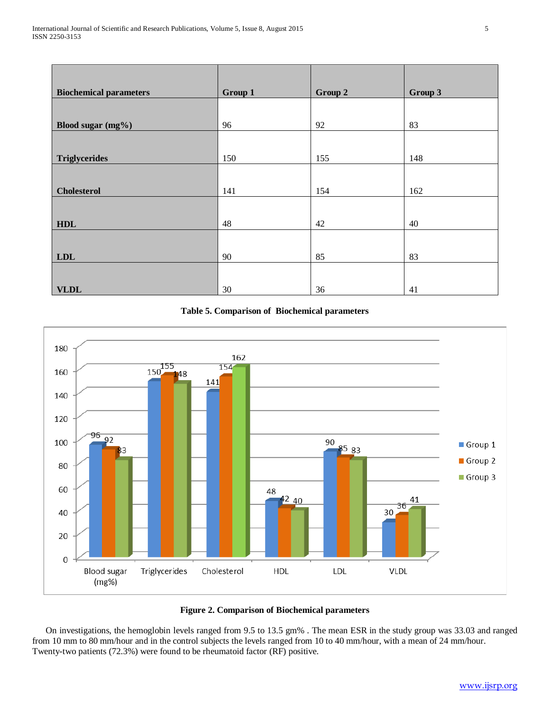| <b>Biochemical parameters</b> | Group 1 | Group 2 | Group 3 |
|-------------------------------|---------|---------|---------|
|                               |         |         |         |
| Blood sugar (mg%)             | 96      | 92      | 83      |
|                               |         |         |         |
| <b>Triglycerides</b>          | 150     | 155     | 148     |
|                               |         |         |         |
| <b>Cholesterol</b>            | 141     | 154     | 162     |
|                               |         |         |         |
| HDL                           | 48      | 42      | 40      |
|                               |         |         |         |
| <b>LDL</b>                    | 90      | 85      | 83      |
|                               |         |         |         |
| <b>VLDL</b>                   | 30      | 36      | 41      |

## **Table 5. Comparison of Biochemical parameters**



## **Figure 2. Comparison of Biochemical parameters**

 On investigations, the hemoglobin levels ranged from 9.5 to 13.5 gm% . The mean ESR in the study group was 33.03 and ranged from 10 mm to 80 mm/hour and in the control subjects the levels ranged from 10 to 40 mm/hour, with a mean of 24 mm/hour. Twenty-two patients (72.3%) were found to be rheumatoid factor (RF) positive.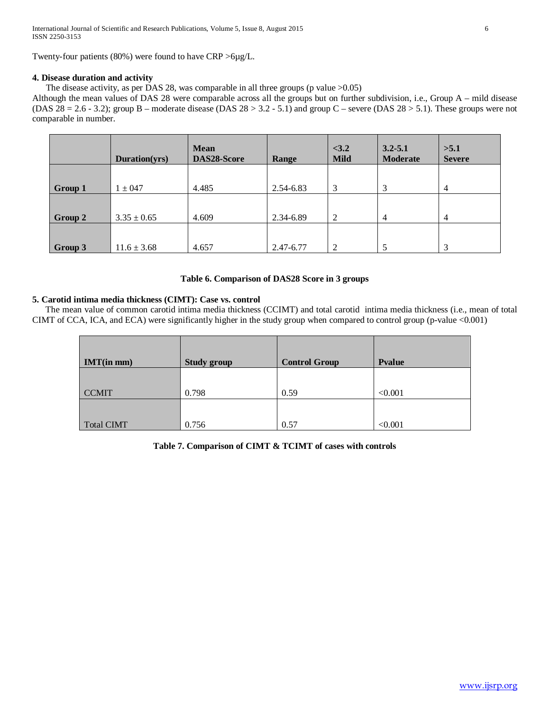Twenty-four patients (80%) were found to have CRP >6µg/L.

## **4. Disease duration and activity**

The disease activity, as per DAS 28, was comparable in all three groups (p value >0.05)

Although the mean values of DAS 28 were comparable across all the groups but on further subdivision, i.e., Group A – mild disease (DAS  $28 = 2.6 - 3.2$ ); group B – moderate disease (DAS  $28 > 3.2 - 5.1$ ) and group C – severe (DAS  $28 > 5.1$ ). These groups were not comparable in number.

|         | Duration(yrs)   | <b>Mean</b><br>DAS28-Score | Range     | < 3.2<br><b>Mild</b> | $3.2 - 5.1$<br><b>Moderate</b> | >5.1<br><b>Severe</b> |
|---------|-----------------|----------------------------|-----------|----------------------|--------------------------------|-----------------------|
| Group 1 | $1 \pm 047$     | 4.485                      | 2.54-6.83 | 3                    | 3                              | $\overline{4}$        |
| Group 2 | $3.35 \pm 0.65$ | 4.609                      | 2.34-6.89 | 2                    | $\overline{4}$                 | 4                     |
| Group 3 | $11.6 \pm 3.68$ | 4.657                      | 2.47-6.77 | 2                    |                                | 3                     |

## **Table 6. Comparison of DAS28 Score in 3 groups**

## **5. Carotid intima media thickness (CIMT): Case vs. control**

 The mean value of common carotid intima media thickness (CCIMT) and total carotid intima media thickness (i.e., mean of total CIMT of CCA, ICA, and ECA) were significantly higher in the study group when compared to control group (p-value <0.001)

| $IMT(in \, mm)$   | <b>Study group</b> | <b>Control Group</b> | Pvalue  |
|-------------------|--------------------|----------------------|---------|
| <b>CCMIT</b>      | 0.798              | 0.59                 | < 0.001 |
| <b>Total CIMT</b> | 0.756              | 0.57                 | < 0.001 |

## **Table 7. Comparison of CIMT & TCIMT of cases with controls**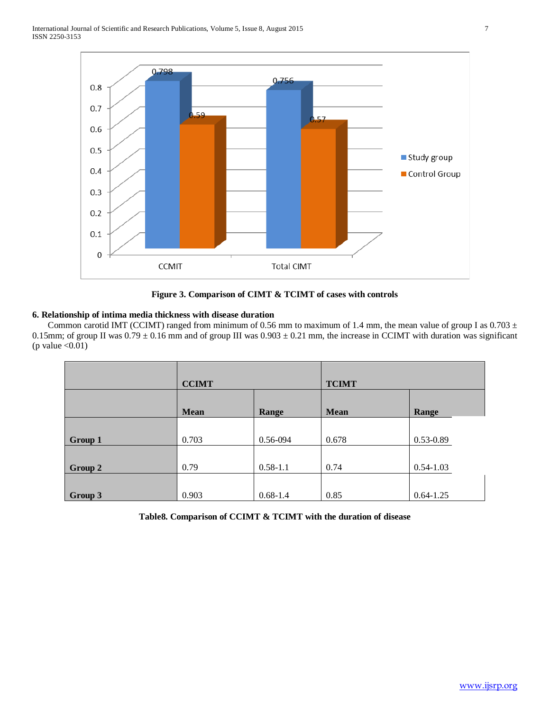

**Figure 3. Comparison of CIMT & TCIMT of cases with controls**

## **6. Relationship of intima media thickness with disease duration**

Common carotid IMT (CCIMT) ranged from minimum of 0.56 mm to maximum of 1.4 mm, the mean value of group I as  $0.703 \pm$ 0.15mm; of group II was  $0.79 \pm 0.16$  mm and of group III was  $0.903 \pm 0.21$  mm, the increase in CCIMT with duration was significant (p value  $< 0.01$ )

|         | <b>CCIMT</b> |              | <b>TCIMT</b> |               |
|---------|--------------|--------------|--------------|---------------|
|         | <b>Mean</b>  | Range        | <b>Mean</b>  | Range         |
| Group 1 | 0.703        | 0.56-094     | 0.678        | 0.53-0.89     |
| Group 2 | 0.79         | $0.58 - 1.1$ | 0.74         | $0.54 - 1.03$ |
| Group 3 | 0.903        | $0.68 - 1.4$ | 0.85         | $0.64 - 1.25$ |

**Table8. Comparison of CCIMT & TCIMT with the duration of disease**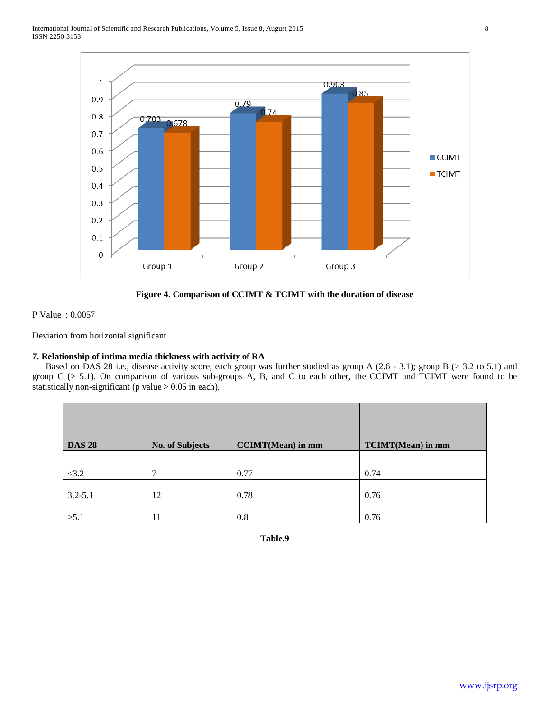



P Value : 0.0057

Deviation from horizontal significant

## **7. Relationship of intima media thickness with activity of RA**

Based on DAS 28 i.e., disease activity score, each group was further studied as group A (2.6 - 3.1); group B ( $>$  3.2 to 5.1) and group C (> 5.1). On comparison of various sub-groups A, B, and C to each other, the CCIMT and TCIMT were found to be statistically non-significant (p value  $> 0.05$  in each).

| <b>DAS 28</b> | <b>No. of Subjects</b> | <b>CCIMT</b> (Mean) in mm | <b>TCIMT</b> (Mean) in mm |
|---------------|------------------------|---------------------------|---------------------------|
|               |                        |                           |                           |
| <3.2          | 7                      | 0.77                      | 0.74                      |
| $3.2 - 5.1$   | 12                     | 0.78                      | 0.76                      |
| >5.1          | 11                     | 0.8                       | 0.76                      |

**Table.9**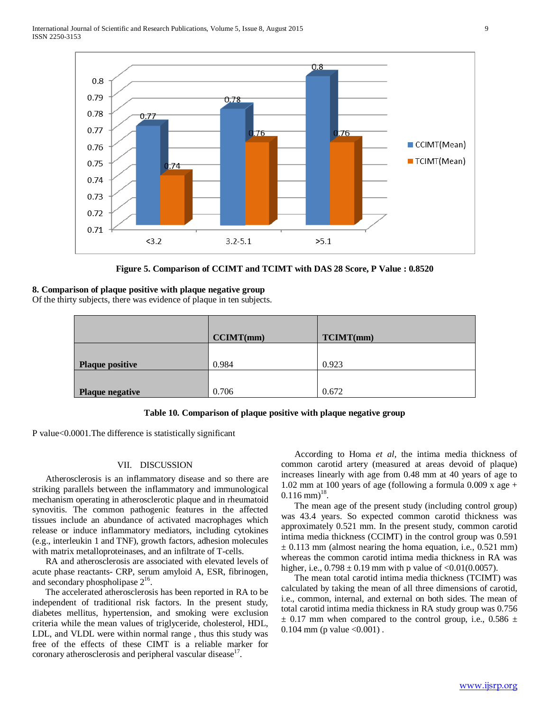

**Figure 5. Comparison of CCIMT and TCIMT with DAS 28 Score, P Value : 0.8520**

#### **8. Comparison of plaque positive with plaque negative group**

Of the thirty subjects, there was evidence of plaque in ten subjects.

|                        | CCMT(mm) | TCIMT(mm) |
|------------------------|----------|-----------|
| <b>Plaque positive</b> | 0.984    | 0.923     |
| <b>Plaque negative</b> | 0.706    | 0.672     |

#### **Table 10. Comparison of plaque positive with plaque negative group**

P value<0.0001.The difference is statistically significant

## VII. DISCUSSION

 Atherosclerosis is an inflammatory disease and so there are striking parallels between the inflammatory and immunological mechanism operating in atherosclerotic plaque and in rheumatoid synovitis. The common pathogenic features in the affected tissues include an abundance of activated macrophages which release or induce inflammatory mediators, including cytokines (e.g., interleukin 1 and TNF), growth factors, adhesion molecules with matrix metalloproteinases, and an infiltrate of T-cells.

 RA and atherosclerosis are associated with elevated levels of acute phase reactants- CRP, serum amyloid A, ESR, fibrinogen, and secondary phospholipase  $2^{16}$ .

 The accelerated atherosclerosis has been reported in RA to be independent of traditional risk factors. In the present study, diabetes mellitus, hypertension, and smoking were exclusion criteria while the mean values of triglyceride, cholesterol, HDL, LDL, and VLDL were within normal range , thus this study was free of the effects of these CIMT is a reliable marker for coronary atherosclerosis and peripheral vascular disease  $17$ .

 According to Homa *et al*, the intima media thickness of common carotid artery (measured at areas devoid of plaque) increases linearly with age from 0.48 mm at 40 years of age to 1.02 mm at 100 years of age (following a formula  $0.009$  x age +  $0.116$  mm $^{18}$ .

 The mean age of the present study (including control group) was 43.4 years. So expected common carotid thickness was approximately 0.521 mm. In the present study, common carotid intima media thickness (CCIMT) in the control group was 0.591  $\pm$  0.113 mm (almost nearing the homa equation, i.e., 0.521 mm) whereas the common carotid intima media thickness in RA was higher, i.e.,  $0.798 \pm 0.19$  mm with p value of <0.01(0.0057).

 The mean total carotid intima media thickness (TCIMT) was calculated by taking the mean of all three dimensions of carotid, i.e., common, internal, and external on both sides. The mean of total carotid intima media thickness in RA study group was 0.756  $\pm$  0.17 mm when compared to the control group, i.e., 0.586  $\pm$ 0.104 mm (p value  $\leq 0.001$ ).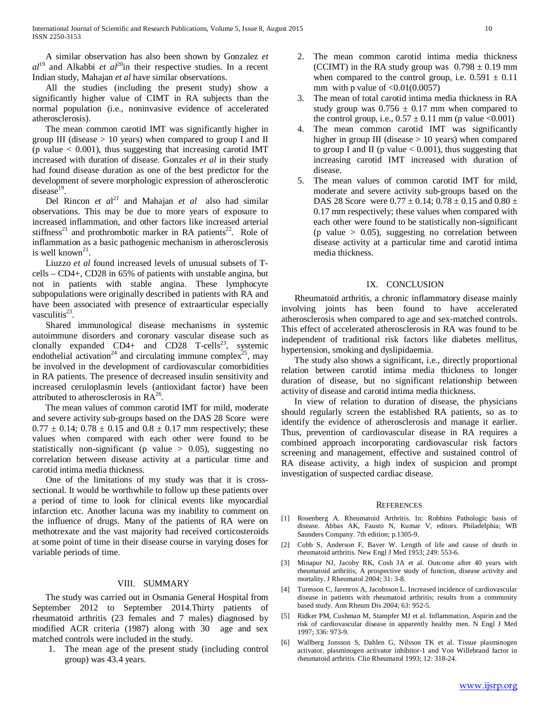A similar observation has also been shown by Gonzalez *et*   $al^{19}$  and Alkabbi *et al*<sup>20</sup>in their respective studies. In a recent Indian study, Mahajan *et al* have similar observations.

 All the studies (including the present study) show a significantly higher value of CIMT in RA subjects than the normal population (i.e., noninvasive evidence of accelerated atherosclerosis).

 The mean common carotid IMT was significantly higher in group III (disease  $> 10$  years) when compared to group I and II (p value  $< 0.001$ ), thus suggesting that increasing carotid IMT increased with duration of disease. Gonzales *et al* in their study had found disease duration as one of the best predictor for the development of severe morphologic expression of atherosclerotic  $disease<sup>19</sup>$ .

 Del Rincon *et a*l <sup>2</sup>*<sup>1</sup>* and Mahajan *et al* also had similar observations. This may be due to more years of exposure to increased inflammation, and other factors like increased arterial stiffness<sup>21</sup> and prothrombotic marker in RA patients<sup>22</sup>. Role of inflammation as a basic pathogenic mechanism in atherosclerosis is well known<sup>21</sup>.

Liuzzo *et al* found increased levels of unusual subsets of Tcells – CD4+, CD28 in 65% of patients with unstable angina, but not in patients with stable angina. These lymphocyte subpopulations were originally described in patients with RA and have been associated with presence of extraarticular especially vasculitis $23$ .

 Shared immunological disease mechanisms in systemic autoimmune disorders and coronary vascular disease such as clonally expanded  $CD4+$  and  $CD28$  T-cells<sup>23</sup>, systemic endothelial activation<sup>24</sup> and circulating immune complex<sup>25</sup>, may be involved in the development of cardiovascular comorbidities in RA patients. The presence of decreased insulin sensitivity and increased ceruloplasmin levels (antioxidant factor) have been attributed to atherosclerosis in  $RA^{26}$ .

 The mean values of common carotid IMT for mild, moderate and severe activity sub-groups based on the DAS 28 Score were  $0.77 \pm 0.14$ ;  $0.78 \pm 0.15$  and  $0.8 \pm 0.17$  mm respectively; these values when compared with each other were found to be statistically non-significant (p value  $> 0.05$ ), suggesting no correlation between disease activity at a particular time and carotid intima media thickness.

 One of the limitations of my study was that it is crosssectional. It would be worthwhile to follow up these patients over a period of time to look for clinical events like myocardial infarction etc. Another lacuna was my inability to comment on the influence of drugs. Many of the patients of RA were on methotrexate and the vast majority had received corticosteroids at some point of time in their disease course in varying doses for variable periods of time.

#### VIII. SUMMARY

 The study was carried out in Osmania General Hospital from September 2012 to September 2014.Thirty patients of rheumatoid arthritis (23 females and 7 males) diagnosed by modified ACR criteria (1987) along with 30 age and sex matched controls were included in the study.

1. The mean age of the present study (including control group) was 43.4 years.

- 2. The mean common carotid intima media thickness (CCIMT) in the RA study group was  $0.798 \pm 0.19$  mm when compared to the control group, i.e.  $0.591 \pm 0.11$ mm with p value of  $\langle 0.01(0.0057)$
- 3. The mean of total carotid intima media thickness in RA study group was  $0.756 \pm 0.17$  mm when compared to the control group, i.e.,  $0.57 \pm 0.11$  mm (p value <0.001)
- 4. The mean common carotid IMT was significantly higher in group III (disease  $> 10$  years) when compared to group I and II (p value  $< 0.001$ ), thus suggesting that increasing carotid IMT increased with duration of disease.
- 5. The mean values of common carotid IMT for mild, moderate and severe activity sub-groups based on the DAS 28 Score were  $0.77 \pm 0.14$ ;  $0.78 \pm 0.15$  and  $0.80 \pm 0.15$ 0.17 mm respectively; these values when compared with each other were found to be statistically non-significant (p value  $> 0.05$ ), suggesting no correlation between disease activity at a particular time and carotid intima media thickness.

#### IX. CONCLUSION

 Rheumatoid arthritis, a chronic inflammatory disease mainly involving joints has been found to have accelerated atherosclerosis when compared to age and sex-matched controls. This effect of accelerated atherosclerosis in RA was found to be independent of traditional risk factors like diabetes mellitus, hypertension, smoking and dyslipidaemia.

 The study also shows a significant, i.e., directly proportional relation between carotid intima media thickness to longer duration of disease, but no significant relationship between activity of disease and carotid intima media thickness.

 In view of relation to duration of disease, the physicians should regularly screen the established RA patients, so as to identify the evidence of atherosclerosis and manage it earlier. Thus, prevention of cardiovascular disease in RA requires a combined approach incorporating cardiovascular risk factors screening and management, effective and sustained control of RA disease activity, a high index of suspicion and prompt investigation of suspected cardiac disease.

#### **REFERENCES**

- [1] Rosenberg A. Rheumatoid Arthritis. In: Robbins Pathologic basis of disease. Abbas AK, Fausto N, Kumar V, editors. Philadelphia; WB Saunders Company. 7th edition; p.1305-9.
- [2] Cobb S, Anderson F, Baver W. Length of life and cause of death in rheumatoid arthritis. New Engl J Med 1953; 249: 553-6.
- [3] Minapur NJ, Jacoby RK, Cosh JA et al. Outcome after 40 years with rheumatoid arthritis; A prospective study of function, disease activity and mortality. J Rheumatol 2004; 31: 3-8.
- [4] Turesson C, Jarenros A, Jacobsson L. Increased incidence of cardiovascular disease in patients with rheumatoid arthritis; results from a community based study. Ann Rheum Dis 2004; 63: 952-5.
- [5] Ridker PM, Cushman M, Stampfer MJ et al. Inflammation, Aspirin and the risk of cardiovascular disease in apparently healthy men. N Engl J Med 1997; 336: 973-9.
- [6] Wallberg Jonsson S, Dahlen G, Nilsson TK et al. Tissue plasminogen activator, plasminogen activator inhibitor-1 and Von Willebrand factor in rheumatoid arthritis. Clin Rheumatol 1993; 12: 318-24.